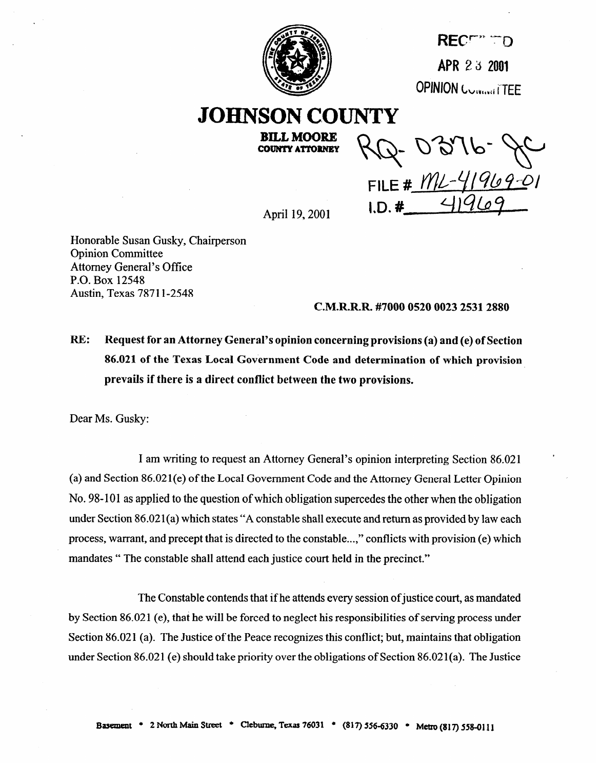

RECE<sup>nt</sup> TD APR 2 3 2001 **OPINION CORNAL ITTEE** 

# **JOHNSON COUNTY**

**BILL MOORE COUNTY ATTORNEY** 

Q-0316-9 FILE #  $M/L - 41969-01$ <br>I.D. # 41969

April 19,200l

Honorable Susan Gusky, Chairperson Opinion Committee Attorney General's Office P.O. Box 12548 Austin, Texas 78711-2548

## **C.M.R.R.R.#70000520002325312880**

RE: **Request for an Attorney General's opinion concerning provisions (a) and (e) of Section 86.021 of the Texas Local Government Code and determination of which provision prevails if there is a direct conflict between the two provisions.** 

Dear Ms. Gusky:

I am writing to request an Attorney General's opinion interpreting Section 86.021 (a) and Section 86.021(e) of the Local Government Code and the Attorney General Letter Opinion No. 98-101 as applied to the question of which obligation supercedes the other when the obligation under Section 86.021(a) which states "A constable shall execute and return as provided by law each process, warrant, and precept that is directed to the constable...," conflicts with provision (e) which mandates " The constable shall attend each justice court held in the precinct."

The Constable contends that if he attends every session of justice court, as mandated by Section 86.02 1 (e), that he will be forced to neglect his responsibilities of serving process under Section 86.021 (a). The Justice of the Peace recognizes this conflict; but, maintains that obligation under Section 86.021 (e) should take priority over the obligations of Section 86.021(a). The Justice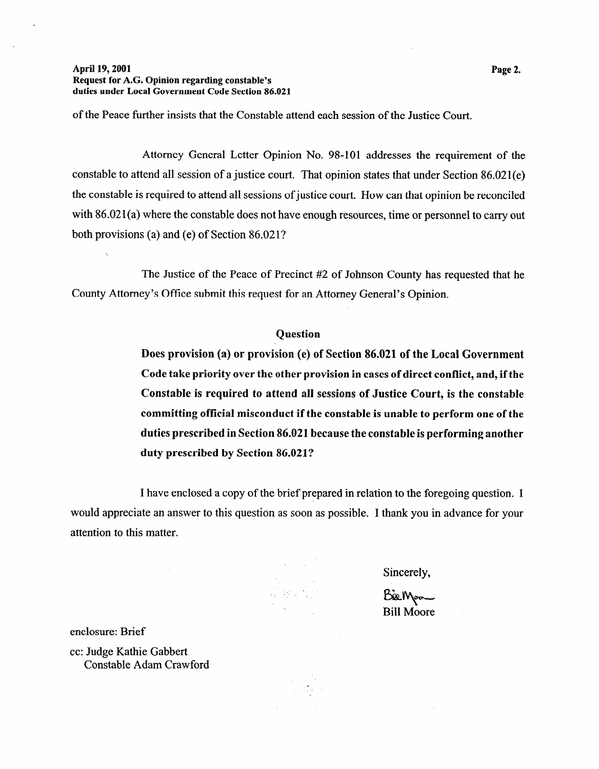## **April 19,200l Request for A.G. Opinion regarding constable's duties under Local Government Code Section 86.021**

of the Peace further insists that the Constable attend each session of the Justice Court.

Attorney General Letter Opinion No. 98-101 addresses the requirement of the constable to attend all session of a justice court. That opinion states that under Section 86.021(e) the constable is required to attend all sessions of justice court. How can that opinion be reconciled with 86.021(a) where the constable does not have enough resources, time or personnel to carry out both provisions (a) and (e) of Section 86.021?

The Justice of the Peace of Precinct #2 of Johnson County has requested that he County Attorney's Office submit this request for an Attorney General's Opinion.

## **Question**

**Does provision (a) or provision (e) of Section 86.021 of the Local Government Code take priority over the other provision in cases of direct conflict, and, if the Constable is required to attend all sessions of Justice Court, is the constable committing official misconduct if the constable is unable to perform one of the duties prescribed in Section 86.021 because the constable is performing another duty prescribed by Section 86.021?** 

I have enclosed a copy of the brief prepared in relation to the foregoing question. I would appreciate an answer to this question as soon as possible. I thank you in advance for your attention to this matter.

Sincerely,

Bik Moo Bill Moore

cc: Judge Kathie Gabbert Constable Adam Crawford

enclosure: Brief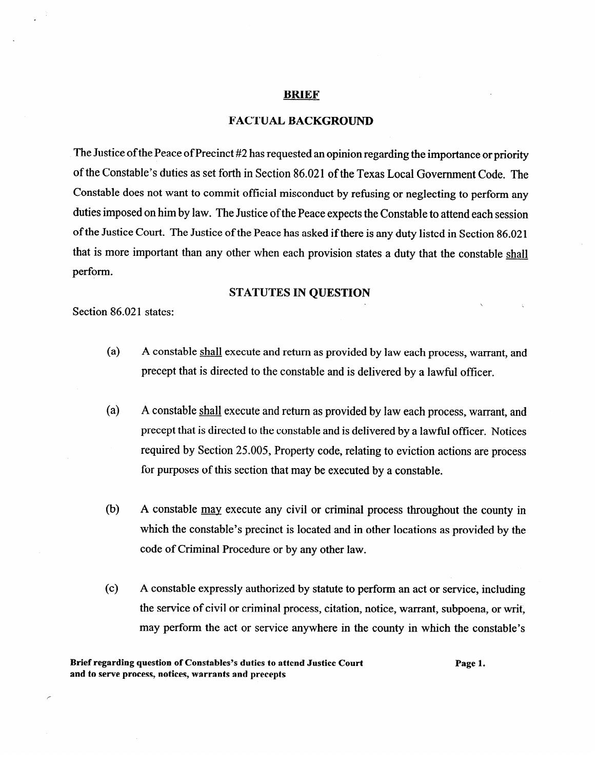### **BRIEF**

## **FACTUAL BACKGROUND**

The Justice of the Peace of Precinct #2 has requested an opinion regarding the importance or priority of the Constable's duties as set forth in Section 86.021 of the Texas Local Government Code. The Constable does not want to commit official misconduct by refusing or neglecting to perform any duties imposed on him by law. The Justice of the Peace expects the Constable to attend each session of the Justice Court. The Justice of the Peace has asked if there is any duty listed in Section 86.021 that is more important than any other when each provision states a duty that the constable shall perform.

## **STATUTES IN QUESTION**

Section 86.021 states:

- $\overline{a}$ A constable shall execute and return as provided by law each process, warrant, and precept that is directed to the constable and is delivered by a lawful offrcer.
- $\ddot{ }$ A constable shall execute and return as provided by law each process, warrant, and precept that is directed to the constable and is delivered by a lawful officer. Notices  $\mathbf{r}$  is directed to the constable and is defined by a lawful officer. Notices  $\mathbf{r}$ required by Section 25.005, Property code, relating to eviction actions are process for purposes of this section that may be executed by a constable. for purposes of this section that may be executed by a constable.
- $(b)$ A constable may execute any civil or criminal process throughout the county in which the constable's precinct is located and in other locations as provided by the code of Criminal Procedure or by any other law.
- $(c)$ A constable expressly authorized by statute to perform an act or service, including the service of civil or criminal process, citation, notice, warrant, subpoena, or writ, may perform the act or service anywhere in the county in which the constable's

Page 1.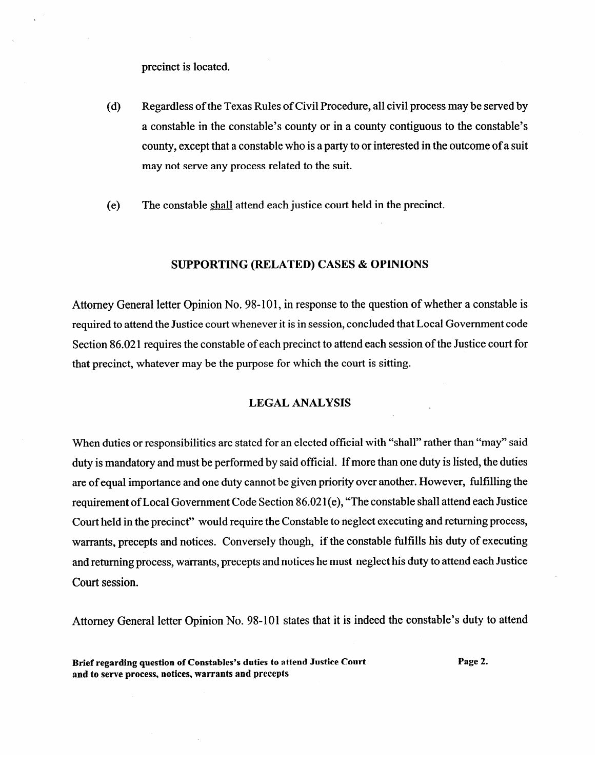precinct is located.

- (d) Regardless of the Texas Rules of Civil Procedure, all civil process may be served by a constable in the constable's county or in a county contiguous to the constable's county, except that a constable who is a party to or interested in the outcome of a suit may not serve any process related to the suit.
- (e) The constable shall attend each justice court held in the precinct.

## **SUPPORTING (RELATED) CASES & OPINIONS**

Attorney General letter Opinion No. 98-101, in response to the question of whether a constable is required to attend the Justice court whenever it is in session, concluded that Local Government code Section 86.02 1 requires the constable of each precinct to attend each session of the Justice court for that precinct, whatever may be the purpose for which the court is sitting.

#### **LEGAL ANALYSIS LEGAL ANALYSIS**

When duties or responsibilities are stated for an elected of an elected official with "shall" rather than "may" said duty is mandatory and must be performed by said official. If  $\mathcal{I}$  is listed, the duty is listed, the duty is listed, the duty is listed, the duty is listed, the duty is listed, the duty is listed, the duty is listed, are of equal importance and one duty cannot be given priority over another. However, fulfilling the<br>requirement of Local Government Code Section 86.021(e), "The constable shall attend each Justice Court held in the precinct" would require the Constable to neglect executing and returning process, warrants, precepts and notices. Conversely though, if the constable fulfills his duty of executing and returning process, warrants, precepts and notices he must neglect his duty to attend each Justice and returning process, warrants, precepts and notices he must neglect his duty to attend each Justice

Attorney General letter Opinion No. 98-101 states that it is indeed the constable's duty to attend

Brief regarding question of Constables's duties to attend Justice Court and to serve process, notices, warrants and precepts

Page 2.